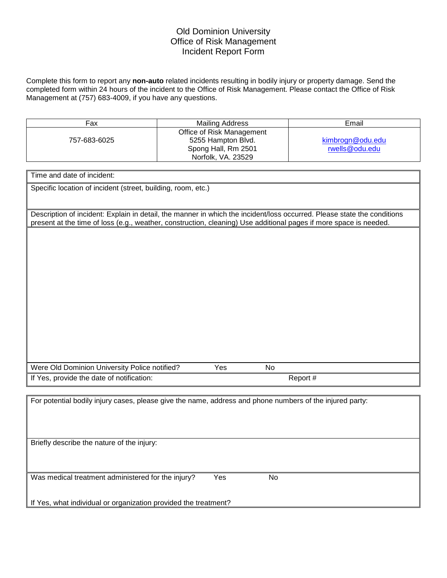## Old Dominion University Office of Risk Management Incident Report Form

Complete this form to report any **non-auto** related incidents resulting in bodily injury or property damage. Send the completed form within 24 hours of the incident to the Office of Risk Management. Please contact the Office of Risk Management at (757) 683-4009, if you have any questions.

| Fax                                                                                                      | <b>Mailing Address</b>                                                                                                                                                                                                                       | Email            |  |  |
|----------------------------------------------------------------------------------------------------------|----------------------------------------------------------------------------------------------------------------------------------------------------------------------------------------------------------------------------------------------|------------------|--|--|
|                                                                                                          | Office of Risk Management                                                                                                                                                                                                                    |                  |  |  |
| 757-683-6025                                                                                             | 5255 Hampton Blvd.                                                                                                                                                                                                                           | kimbrogn@odu.edu |  |  |
|                                                                                                          | Spong Hall, Rm 2501                                                                                                                                                                                                                          | rwells@odu.edu   |  |  |
|                                                                                                          | Norfolk, VA. 23529                                                                                                                                                                                                                           |                  |  |  |
|                                                                                                          |                                                                                                                                                                                                                                              |                  |  |  |
| Time and date of incident:                                                                               |                                                                                                                                                                                                                                              |                  |  |  |
| Specific location of incident (street, building, room, etc.)                                             |                                                                                                                                                                                                                                              |                  |  |  |
|                                                                                                          | Description of incident: Explain in detail, the manner in which the incident/loss occurred. Please state the conditions<br>present at the time of loss (e.g., weather, construction, cleaning) Use additional pages if more space is needed. |                  |  |  |
|                                                                                                          |                                                                                                                                                                                                                                              |                  |  |  |
|                                                                                                          |                                                                                                                                                                                                                                              |                  |  |  |
|                                                                                                          |                                                                                                                                                                                                                                              |                  |  |  |
|                                                                                                          |                                                                                                                                                                                                                                              |                  |  |  |
|                                                                                                          |                                                                                                                                                                                                                                              |                  |  |  |
|                                                                                                          |                                                                                                                                                                                                                                              |                  |  |  |
|                                                                                                          |                                                                                                                                                                                                                                              |                  |  |  |
|                                                                                                          |                                                                                                                                                                                                                                              |                  |  |  |
|                                                                                                          |                                                                                                                                                                                                                                              |                  |  |  |
|                                                                                                          |                                                                                                                                                                                                                                              |                  |  |  |
|                                                                                                          |                                                                                                                                                                                                                                              |                  |  |  |
|                                                                                                          |                                                                                                                                                                                                                                              |                  |  |  |
|                                                                                                          |                                                                                                                                                                                                                                              |                  |  |  |
|                                                                                                          |                                                                                                                                                                                                                                              |                  |  |  |
| Were Old Dominion University Police notified?                                                            | Yes<br>No                                                                                                                                                                                                                                    |                  |  |  |
| If Yes, provide the date of notification:                                                                |                                                                                                                                                                                                                                              | Report #         |  |  |
|                                                                                                          |                                                                                                                                                                                                                                              |                  |  |  |
|                                                                                                          |                                                                                                                                                                                                                                              |                  |  |  |
| For potential bodily injury cases, please give the name, address and phone numbers of the injured party: |                                                                                                                                                                                                                                              |                  |  |  |
|                                                                                                          |                                                                                                                                                                                                                                              |                  |  |  |
|                                                                                                          |                                                                                                                                                                                                                                              |                  |  |  |
|                                                                                                          |                                                                                                                                                                                                                                              |                  |  |  |
| Briefly describe the nature of the injury:                                                               |                                                                                                                                                                                                                                              |                  |  |  |
|                                                                                                          |                                                                                                                                                                                                                                              |                  |  |  |
|                                                                                                          |                                                                                                                                                                                                                                              |                  |  |  |
|                                                                                                          |                                                                                                                                                                                                                                              |                  |  |  |
| Was medical treatment administered for the injury?                                                       | Yes<br>No                                                                                                                                                                                                                                    |                  |  |  |
|                                                                                                          |                                                                                                                                                                                                                                              |                  |  |  |
|                                                                                                          |                                                                                                                                                                                                                                              |                  |  |  |
| If Yes, what individual or organization provided the treatment?                                          |                                                                                                                                                                                                                                              |                  |  |  |